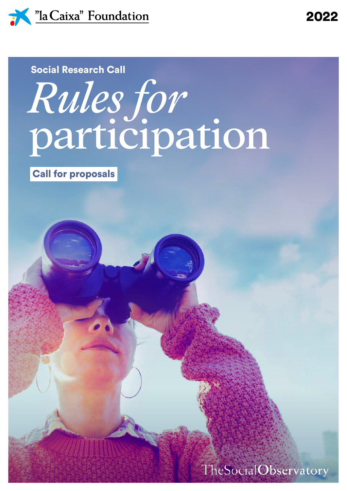

## *Rules for* participation Social Research Call

Call for proposals

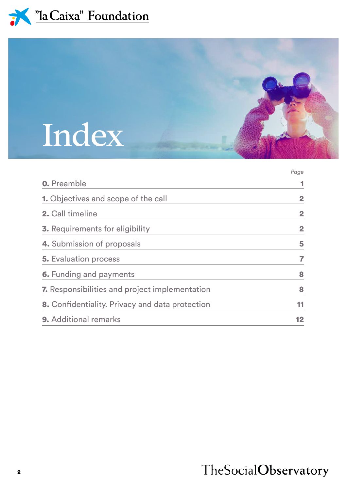



|                                                 | Page           |
|-------------------------------------------------|----------------|
| <b>0.</b> Preamble                              |                |
| <b>1.</b> Objectives and scope of the call      | $\overline{2}$ |
| 2. Call timeline                                | $\overline{2}$ |
| <b>3.</b> Requirements for eligibility          | $\overline{2}$ |
| <b>4.</b> Submission of proposals               | 5              |
| <b>5.</b> Evaluation process                    | 7              |
| <b>6.</b> Funding and payments                  | 8              |
| 7. Responsibilities and project implementation  | 8              |
| 8. Confidentiality. Privacy and data protection | 11             |
| <b>9.</b> Additional remarks                    | 12             |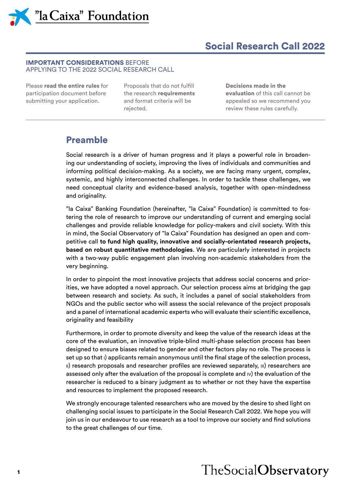*N* "la Caixa" Foundation

#### Social Research Call 2022

#### IMPORTANT CONSIDERATIONS BEFORE APPLYING TO THE 2022 SOCIAL RESEARCH CALL

Please read the entire rules for participation document before submitting your application.

Proposals that do not fulfill the research requirements and format criteria will be rejected.

Decisions made in the evaluation of this call cannot be appealed so we recommend you review these rules carefully.

#### Preamble

Social research is a driver of human progress and it plays a powerful role in broadening our understanding of society, improving the lives of individuals and communities and informing political decision-making. As a society, we are facing many urgent, complex, systemic, and highly interconnected challenges. In order to tackle these challenges, we need conceptual clarity and evidence-based analysis, together with open-mindedness and originality.

"la Caixa" Banking Foundation (hereinafter, "la Caixa" Foundation) is committed to fostering the role of research to improve our understanding of current and emerging social challenges and provide reliable knowledge for policy-makers and civil society. With this in mind, the Social Observatory of "la Caixa" Foundation has designed an open and competitive call **to fund high quality, innovative and socially-orientated research projects, based on robust quantitative methodologies**. We are particularly interested in projects with a two-way public engagement plan involving non-academic stakeholders from the very beginning.

In order to pinpoint the most innovative projects that address social concerns and priorities, we have adopted a novel approach. Our selection process aims at bridging the gap between research and society. As such, it includes a panel of social stakeholders from NGOs and the public sector who will assess the social relevance of the project proposals and a panel of international academic experts who will evaluate their scientific excellence, originality and feasibility

Furthermore, in order to promote diversity and keep the value of the research ideas at the core of the evaluation, an innovative triple-blind multi-phase selection process has been designed to ensure biases related to gender and other factors play no role. The process is set up so that <sup>i</sup>) applicants remain anonymous until the final stage of the selection process, ii) research proposals and researcher profiles are reviewed separately, iii) researchers are assessed only after the evaluation of the proposal is complete and iv) the evaluation of the researcher is reduced to a binary judgment as to whether or not they have the expertise and resources to implement the proposed research.

We strongly encourage talented researchers who are moved by the desire to shed light on challenging social issues to participate in the Social Research Call 2022. We hope you will join us in our endeavour to use research as a tool to improve our society and find solutions to the great challenges of our time.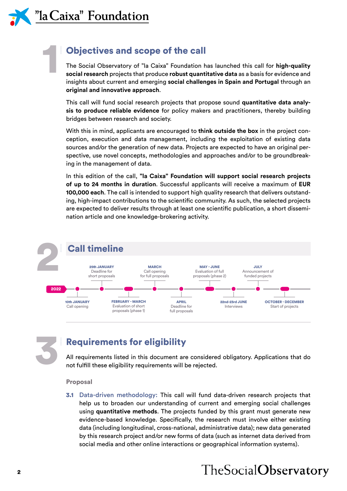1

#### Objectives and scope of the call

The Social Observatory of "la Caixa" Foundation has launched this call for **high-quality social research** projects that produce **robust quantitative data** as a basis for evidence and insights about current and emerging **social challenges in Spain and Portugal** through an **original and innovative approach**.

This call will fund social research projects that propose sound **quantitative data analysis to produce reliable evidence** for policy makers and practitioners, thereby building bridges between research and society.

With this in mind, applicants are encouraged to **think outside the box** in the project conception, execution and data management, including the exploitation of existing data sources and/or the generation of new data. Projects are expected to have an original perspective, use novel concepts, methodologies and approaches and/or to be groundbreaking in the management of data.

In this edition of the call, **"la Caixa" Foundation will support social research projects of up to 24 months in duration**. Successful applicants will receive a maximum of **EUR 100,000 each**. The call is intended to support high quality research that delivers outstanding, high-impact contributions to the scientific community. As such, the selected projects are expected to deliver results through at least one scientific publication, a short dissemination article and one knowledge-brokering activity.





#### Requirements for eligibility

All requirements listed in this document are considered obligatory. Applications that do not fulfill these eligibility requirements will be rejected.

#### Proposal

3.1 Data-driven methodology: This call will fund data-driven research projects that help us to broaden our understanding of current and emerging social challenges using **quantitative methods**. The projects funded by this grant must generate new evidence-based knowledge. Specifically, the research must involve either existing data (including longitudinal, cross-national, administrative data); new data generated by this research project and/or new forms of data (such as internet data derived from social media and other online interactions or geographical information systems).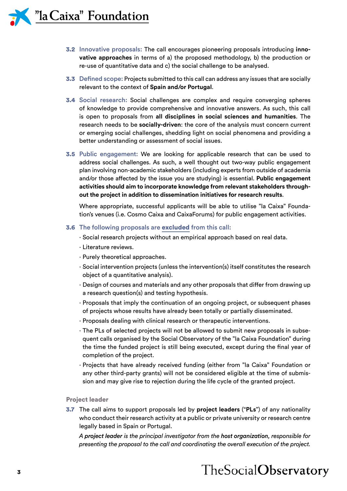- 3.2 Innovative proposals: The call encourages pioneering proposals introducing **innovative approaches** in terms of a) the proposed methodology, b) the production or re-use of quantitative data and c) the social challenge to be analysed.
- 3.3 Defined scope: Projects submitted to this call can address any issues that are socially relevant to the context of **Spain and/or Portugal**.
- 3.4 Social research: Social challenges are complex and require converging spheres of knowledge to provide comprehensive and innovative answers. As such, this call is open to proposals from **all disciplines in social sciences and humanities**. The research needs to be **socially-driven**: the core of the analysis must concern current or emerging social challenges, shedding light on social phenomena and providing a better understanding or assessment of social issues.
- 3.5 Public engagement: We are looking for applicable research that can be used to address social challenges. As such, a well thought out two-way public engagement plan involving non-academic stakeholders (including experts from outside of academia and/or those affected by the issue you are studying) is essential. **Public engagement activities should aim to incorporate knowledge from relevant stakeholders throughout the project in addition to dissemination initiatives for research results**.

Where appropriate, successful applicants will be able to utilise "la Caixa" Foundation's venues (i.e. Cosmo Caixa and CaixaForums) for public engagement activities.

#### 3.6 The following proposals are excluded from this call:

- · Social research projects without an empirical approach based on real data.
- · Literature reviews.
- · Purely theoretical approaches.
- · Social intervention projects (unless the intervention(s) itself constitutes the research object of a quantitative analysis).
- · Design of courses and materials and any other proposals that differ from drawing up a research question(s) and testing hypothesis.
- · Proposals that imply the continuation of an ongoing project, or subsequent phases of projects whose results have already been totally or partially disseminated.
- · Proposals dealing with clinical research or therapeutic interventions.
- · The PLs of selected projects will not be allowed to submit new proposals in subsequent calls organised by the Social Observatory of the "la Caixa Foundation" during the time the funded project is still being executed, except during the final year of completion of the project.
- · Projects that have already received funding (either from "la Caixa" Foundation or any other third-party grants) will not be considered eligible at the time of submission and may give rise to rejection during the life cycle of the granted project.

#### Project leader

3.7 The call aims to support proposals led by **project leaders** ("**PLs**") of any nationality who conduct their research activity at a public or private university or research centre legally based in Spain or Portugal.

*A project leader is the principal investigator from the host organization, responsible for presenting the proposal to the call and coordinating the overall execution of the project.*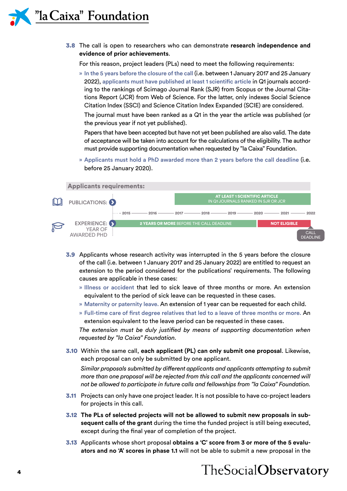3.8 The call is open to researchers who can demonstrate **research independence and evidence of prior achievements**.

For this reason, project leaders (PLs) need to meet the following requirements:

» In the 5 years before the closure of the call (i.e. between 1 January 2017 and 25 January 2022), applicants must have published at least 1 scientific article in Q1 journals according to the rankings of Scimago Journal Rank (SJR) from Scopus or the Journal Citations Report (JCR) from Web of Science. For the latter, only indexes Social Science Citation Index (SSCI) and Science Citation Index Expanded (SCIE) are considered.

The journal must have been ranked as a Q1 in the year the article was published (or the previous year if not yet published).

Papers that have been accepted but have not yet been published are also valid. The date of acceptance will be taken into account for the calculations of the eligibility. The author must provide supporting documentation when requested by "la Caixa" Foundation.

» Applicants must hold a PhD awarded more than 2 years before the call deadline (i.e. before 25 January 2020).



- 3.9 Applicants whose research activity was interrupted in the 5 years before the closure of the call (i.e. between 1 January 2017 and 25 January 2022) are entitled to request an extension to the period considered for the publications' requirements. The following causes are applicable in these cases:
	- » Illness or accident that led to sick leave of three months or more. An extension equivalent to the period of sick leave can be requested in these cases.
	- » Maternity or paternity leave. An extension of 1 year can be requested for each child.
	- » Full-time care of first degree relatives that led to a leave of three months or more. An extension equivalent to the leave period can be requested in these cases.

*The extension must be duly justified by means of supporting documentation when requested by "la Caixa" Foundation.*

3.10 Within the same call, **each applicant (PL) can only submit one proposal**. Likewise, each proposal can only be submitted by one applicant.

*Similar proposals submitted by different applicants and applicants attempting to submit more than one proposal will be rejected from this call and the applicants concerned will not be allowed to participate in future calls and fellowships from "la Caixa" Foundation.*

- 3.11 Projects can only have one project leader. It is not possible to have co-project leaders for projects in this call.
- 3.12 **The PLs of selected projects will not be allowed to submit new proposals in subsequent calls of the grant** during the time the funded project is still being executed, except during the final year of completion of the project.
- 3.13 Applicants whose short proposal **obtains a 'C' score from 3 or more of the 5 evaluators and no 'A' scores in phase 1.1** will not be able to submit a new proposal in the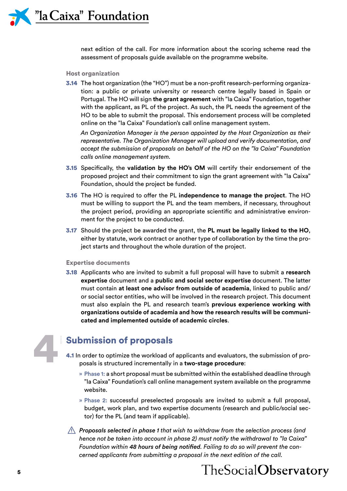next edition of the call. For more information about the scoring scheme read the assessment of proposals guide available on the programme website.

#### Host organization

3.14 The host organization (the "HO") must be a non-profit research-performing organization: a public or private university or research centre legally based in Spain or Portugal. The HO will sign **the grant agreement** with "la Caixa" Foundation, together with the applicant, as PL of the project. As such, the PL needs the agreement of the HO to be able to submit the proposal. This endorsement process will be completed online on the "la Caixa" Foundation's call online management system.

*An Organization Manager is the person appointed by the Host Organization as their representative. The Organization Manager will upload and verify documentation, and accept the submission of proposals on behalf of the HO on the "la Caixa" Foundation calls online management system.*

- 3.15 Specifically, the **validation by the HO's OM** will certify their endorsement of the proposed project and their commitment to sign the grant agreement with "la Caixa" Foundation, should the project be funded.
- 3.16 The HO is required to offer the PL **independence to manage the project**. The HO must be willing to support the PL and the team members, if necessary, throughout the project period, providing an appropriate scientific and administrative environment for the project to be conducted.
- 3.17 Should the project be awarded the grant, the **PL must be legally linked to the HO**, either by statute, work contract or another type of collaboration by the time the project starts and throughout the whole duration of the project.

#### Expertise documents

3.18 Applicants who are invited to submit a full proposal will have to submit a **research expertise** document and a **public and social sector expertise** document. The latter must contain **at least one advisor from outside of academia**, linked to public and/ or social sector entities, who will be involved in the research project. This document must also explain the PL and research team's **previous experience working with organizations outside of academia and how the research results will be communicated and implemented outside of academic circles**.

# 4

#### Submission of proposals

- 4.1 In order to optimize the workload of applicants and evaluators, the submission of proposals is structured incrementally in a **two-stage procedure**:
	- » Phase 1: a short proposal must be submitted within the established deadline through "la Caixa" Foundation's call online management system available on the programme website.
	- » Phase 2: successful preselected proposals are invited to submit a full proposal, budget, work plan, and two expertise documents (research and public/social sector) for the PL (and team if applicable).
- *Proposals selected in phase 1 that wish to withdraw from the selection process (and hence not be taken into account in phase 2) must notify the withdrawal to "la Caixa" Foundation within 48 hours of being notified. Failing to do so will prevent the concerned applicants from submitting a proposal in the next edition of the call.*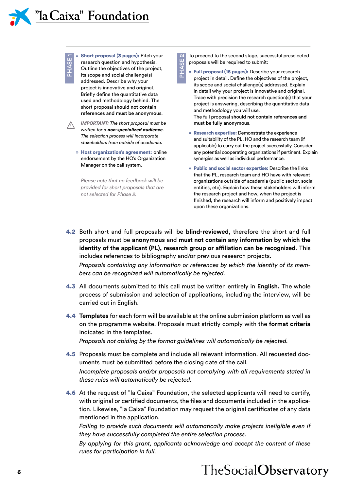

"la Caixa" Foundation

» Short proposal (3 pages): Pitch your research question and hypothesis. Outline the objectives of the project, its scope and social challenge(s) addressed. Describe why your project is innovative and original. Briefly define the quantitative data



 $\Xi$ 

*IMPORTANT: The short proposal must be written for a non-specialized audience. The selection process will incorporate stakeholders from outside of academia.*

used and methodology behind. The short proposal should not contain references and must be anonymous.

» Host organization's agreement: online endorsement by the HO's Organization Manager on the call system.

*Please note that no feedback will be provided for short proposals that are not selected for Phase 2.*

To proceed to the second stage, successful preselected proposals will be required to submit:

» Full proposal (15 pages): Describe your research project in detail. Define the objectives of the project, its scope and social challenge(s) addressed. Explain in detail why your project is innovative and original. Trace with precision the research question(s) that your project is answering, describing the quantitative data and methodology you will use. The full proposal should not contain references and must be fully anonymous.

» Research expertise: Demonstrate the experience and suitability of the PL, HO and the research team (if applicable) to carry out the project successfully. Consider any potential cooperating organizations if pertinent. Explain synergies as well as individual performance.

» Public and social sector expertise: Describe the links that the PL, research team and HO have with relevant organizations outside of academia (public sector, social entities, etc). Explain how these stakeholders will inform the research project and how, when the project is finished, the research will inform and positively impact upon these organizations.

4.2 Both short and full proposals will be **blind-reviewed**, therefore the short and full proposals must be **anonymous** and **must not contain any information by which the identity of the applicant (PL), research group or affiliation can be recognized**. This includes references to bibliography and/or previous research projects. *Proposals containing any information or references by which the identity of its mem-*

PHASE 2

**SISAH<sub>c</sub>** 

*bers can be recognized will automatically be rejected.*

4.3 All documents submitted to this call must be written entirely in **English.** The whole process of submission and selection of applications, including the interview, will be carried out in English.

4.4 **Templates** for each form will be available at the online submission platform as well as on the programme website. Proposals must strictly comply with the **format criteria** indicated in the templates.

*Proposals not abiding by the format guidelines will automatically be rejected.*

- 4.5 Proposals must be complete and include all relevant information. All requested documents must be submitted before the closing date of the call. *Incomplete proposals and/or proposals not complying with all requirements stated in these rules will automatically be rejected.*
- 4.6 At the request of "la Caixa" Foundation, the selected applicants will need to certify, with original or certified documents, the files and documents included in the application. Likewise, "la Caixa" Foundation may request the original certificates of any data mentioned in the application.

*Failing to provide such documents will automatically make projects ineligible even if they have successfully completed the entire selection process.*

*By applying for this grant, applicants acknowledge and accept the content of these rules for participation in full.*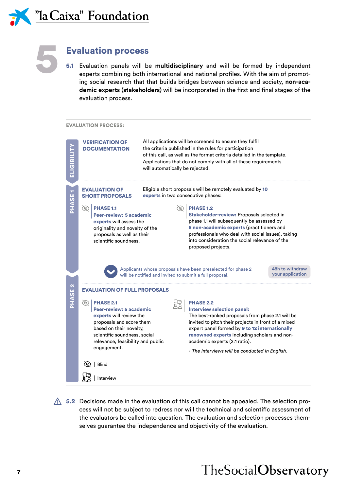



#### Evaluation process

5.1 Evaluation panels will be **multidisciplinary** and will be formed by independent experts combining both international and national profiles. With the aim of promoting social research that that builds bridges between science and society, **non-academic experts (stakeholders)** will be incorporated in the first and final stages of the evaluation process.





 $\triangle$  5.2 Decisions made in the evaluation of this call cannot be appealed. The selection process will not be subject to redress nor will the technical and scientific assessment of the evaluators be called into question. The evaluation and selection processes themselves guarantee the independence and objectivity of the evaluation.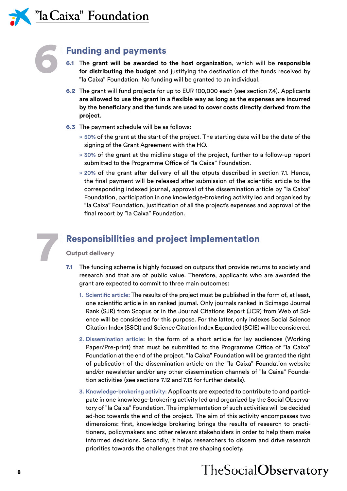6

7

#### Funding and payments

- 6.1 The **grant will be awarded to the host organization**, which will be **responsible for distributing the budget** and justifying the destination of the funds received by "la Caixa" Foundation. No funding will be granted to an individual.
- 6.2 The grant will fund projects for up to EUR 100,000 each (see section 7.4). Applicants **are allowed to use the grant in a flexible way as long as the expenses are incurred by the beneficiary and the funds are used to cover costs directly derived from the project**.
- 6.3 The payment schedule will be as follows:
	- » 50% of the grant at the start of the project. The starting date will be the date of the signing of the Grant Agreement with the HO.
	- » 30% of the grant at the midline stage of the project, further to a follow-up report submitted to the Programme Office of "la Caixa" Foundation.
	- » 20% of the grant after delivery of all the otputs described in section 7.1. Hence, the final payment will be released after submission of the scientific article to the corresponding indexed journal, approval of the dissemination article by "la Caixa" Foundation, participation in one knowledge-brokering activity led and organised by "la Caixa" Foundation, justification of all the project's expenses and approval of the final report by "la Caixa" Foundation.

#### Responsibilities and project implementation

#### Output delivery

- <span id="page-9-0"></span>7.1 The funding scheme is highly focused on outputs that provide returns to society and research and that are of public value. Therefore, applicants who are awarded the grant are expected to commit to three main outcomes:
	- 1. Scientific article: The results of the project must be published in the form of, at least, one scientific article in an ranked journal. Only journals ranked in Scimago Journal Rank (SJR) from Scopus or in the Journal Citations Report (JCR) from Web of Science will be considered for this purpose. For the latter, only indexes Social Science Citation Index (SSCI) and Science Citation Index Expanded (SCIE) will be considered.
	- 2. Dissemination article: In the form of a short article for lay audiences (Working Paper/Pre-print) that must be submitted to the Programme Office of "la Caixa" Foundation at the end of the project. "la Caixa" Foundation will be granted the right of publication of the dissemination article on the "la Caixa" Foundation website and/or newsletter and/or any other dissemination channels of "la Caixa" Foundation activities (see sections 7.12 and 7.13 for further details).
	- 3. Knowledge-brokering activity: Applicants are expected to contribute to and participate in one knowledge-brokering activity led and organized by the Social Observatory of "la Caixa" Foundation. The implementation of such activities will be decided ad-hoc towards the end of the project. The aim of this activity encompasses two dimensions: first, knowledge brokering brings the results of research to practitioners, policymakers and other relevant stakeholders in order to help them make informed decisions. Secondly, it helps researchers to discern and drive research priorities towards the challenges that are shaping society.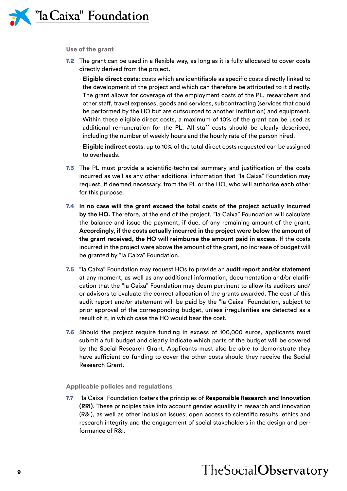

#### Use of the grant

- 7.2 The grant can be used in a flexible way, as long as it is fully allocated to cover costs directly derived from the project**.**
	- · **Eligible direct costs**: costs which are identifiable as specific costs directly linked to the development of the project and which can therefore be attributed to it directly. The grant allows for coverage of the employment costs of the PL, researchers and other staff, travel expenses, goods and services, subcontracting (services that could be performed by the HO but are outsourced to another institution) and equipment. Within these eligible direct costs, a maximum of 10% of the grant can be used as additional remuneration for the PL. All staff costs should be clearly described, including the number of weekly hours and the hourly rate of the person hired.
	- · **Eligible indirect costs**: up to 10% of the total direct costs requested can be assigned to overheads.
- 7.3 The PL must provide a scientific-technical summary and justification of the costs incurred as well as any other additional information that "la Caixa" Foundation may request, if deemed necessary, from the PL or the HO, who will authorise each other for this purpose.
- 7.4 **In no case will the grant exceed the total costs of the project actually incurred by the HO.** Therefore, at the end of the project, "la Caixa" Foundation will calculate the balance and issue the payment, if due, of any remaining amount of the grant. **Accordingly, if the costs actually incurred in the project were below the amount of the grant received, the HO will reimburse the amount paid in excess.** If the costs incurred in the project were above the amount of the grant, no increase of budget will be granted by "la Caixa" Foundation.
- 7.5 "la Caixa" Foundation may request HOs to provide an **audit report and/or statement**  at any moment, as well as any additional information, documentation and/or clarification that the "la Caixa" Foundation may deem pertinent to allow its auditors and/ or advisors to evaluate the correct allocation of the grants awarded. The cost of this audit report and/or statement will be paid by the "la Caixa" Foundation, subject to prior approval of the corresponding budget, unless irregularities are detected as a result of it, in which case the HO would bear the cost.
- 7.6 Should the project require funding in excess of 100,000 euros, applicants must submit a full budget and clearly indicate which parts of the budget will be covered by the Social Research Grant. Applicants must also be able to demonstrate they have sufficient co-funding to cover the other costs should they receive the Social Research Grant.

#### Applicable policies and regulations

7.7 "la Caixa" Foundation fosters the principles of **Responsible Research and Innovation (RRI)**. These principles take into account gender equality in research and innovation (R&I), as well as other inclusion issues; open access to scientific results, ethics and research integrity and the engagement of social stakeholders in the design and performance of R&I.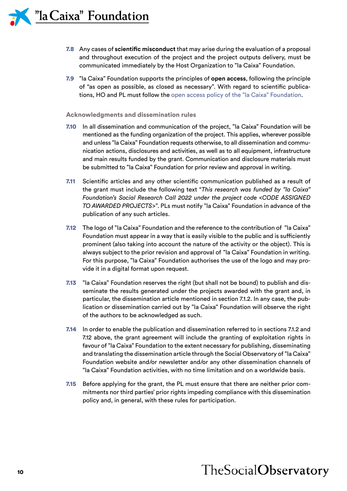- 7.8 Any cases of **scientific misconduct** that may arise during the evaluation of a proposal and throughout execution of the project and the project outputs delivery, must be communicated immediately by the Host Organization to "la Caixa" Foundation.
- 7.9 "la Caixa" Foundation supports the principles of **open access**, following the principle of "as open as possible, as closed as necessary". With regard to scientific publications, HO and PL must follow the [open access policy of the "la Caixa" Foundation](https://obrasociallacaixa.org/documents/10280/692563/politica_acceso_abierto_en.pdf/c5801c90-1fff-43d7-a8fb-6b3fa48b6539).

#### Acknowledgments and dissemination rules

- 7.10 In all dissemination and communication of the project, "la Caixa" Foundation will be mentioned as the funding organization of the project. This applies, wherever possible and unless "la Caixa" Foundation requests otherwise, to all dissemination and communication actions, disclosures and activities, as well as to all equipment, infrastructure and main results funded by the grant. Communication and disclosure materials must be submitted to "la Caixa" Foundation for prior review and approval in writing.
- 7.11 Scientific articles and any other scientific communication published as a result of the grant must include the following text "*This research was funded by "la Caixa" Foundation's Social Research Call 2022 under the project code <CODE ASSIGNED TO AWARDED PROJECTS>*". PLs must notify "la Caixa" Foundation in advance of the publication of any such articles.
- 7.12 The logo of "la Caixa" Foundation and the reference to the contribution of "la Caixa" Foundation must appear in a way that is easily visible to the public and is sufficiently prominent (also taking into account the nature of the activity or the object). This is always subject to the prior revision and approval of "la Caixa" Foundation in writing. For this purpose, "la Caixa" Foundation authorises the use of the logo and may provide it in a digital format upon request.
- 7.13 "Ia Caixa" Foundation reserves the right (but shall not be bound) to publish and disseminate the results generated under the projects awarded with the grant and, in particular, the dissemination article mentioned in section [7.1.2.](#page-9-0) In any case, the publication or dissemination carried out by "la Caixa" Foundation will observe the right of the authors to be acknowledged as such.
- 7.14 In order to enable the publication and dissemination referred to in sections [7.1.2](#page-9-0) and 7.12 above, the grant agreement will include the granting of exploitation rights in favour of "la Caixa" Foundation to the extent necessary for publishing, disseminating and translating the dissemination article through the Social Observatory of "la Caixa" Foundation website and/or newsletter and/or any other dissemination channels of "la Caixa" Foundation activities, with no time limitation and on a worldwide basis.
- 7.15 Before applying for the grant, the PL must ensure that there are neither prior commitments nor third parties' prior rights impeding compliance with this dissemination policy and, in general, with these rules for participation.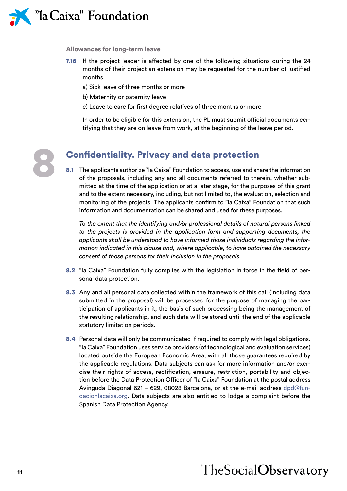

#### Allowances for long-term leave

- 7.16 If the project leader is affected by one of the following situations during the 24 months of their project an extension may be requested for the number of justified months.
	- a) Sick leave of three months or more
	- b) Maternity or paternity leave
	- c) Leave to care for first degree relatives of three months or more

In order to be eligible for this extension, the PL must submit official documents certifying that they are on leave from work, at the beginning of the leave period.



#### Confidentiality. Privacy and data protection

8.1 The applicants authorize "la Caixa" Foundation to access, use and share the information of the proposals, including any and all documents referred to therein, whether submitted at the time of the application or at a later stage, for the purposes of this grant and to the extent necessary, including, but not limited to, the evaluation, selection and monitoring of the projects. The applicants confirm to "la Caixa" Foundation that such information and documentation can be shared and used for these purposes.

*To the extent that the identifying and/or professional details of natural persons linked to the projects is provided in the application form and supporting documents, the applicants shall be understood to have informed those individuals regarding the information indicated in this clause and, where applicable, to have obtained the necessary consent of those persons for their inclusion in the proposals.*

- 8.2 "la Caixa" Foundation fully complies with the legislation in force in the field of personal data protection.
- 8.3 Any and all personal data collected within the framework of this call (including data submitted in the proposal) will be processed for the purpose of managing the participation of applicants in it, the basis of such processing being the management of the resulting relationship, and such data will be stored until the end of the applicable statutory limitation periods.
- 8.4 Personal data will only be communicated if required to comply with legal obligations. "la Caixa" Foundation uses service providers (of technological and evaluation services) located outside the European Economic Area, with all those guarantees required by the applicable regulations. Data subjects can ask for more information and/or exercise their rights of access, rectification, erasure, restriction, portability and objection before the Data Protection Officer of "la Caixa" Foundation at the postal address Avinguda Diagonal 621 – 629, 08028 Barcelona, or at the e-mail address [dpd@fun](mailto:dpd%40fundacionlacaixa.org?subject=)[dacionlacaixa.org.](mailto:dpd%40fundacionlacaixa.org?subject=) Data subjects are also entitled to lodge a complaint before the Spanish Data Protection Agency.